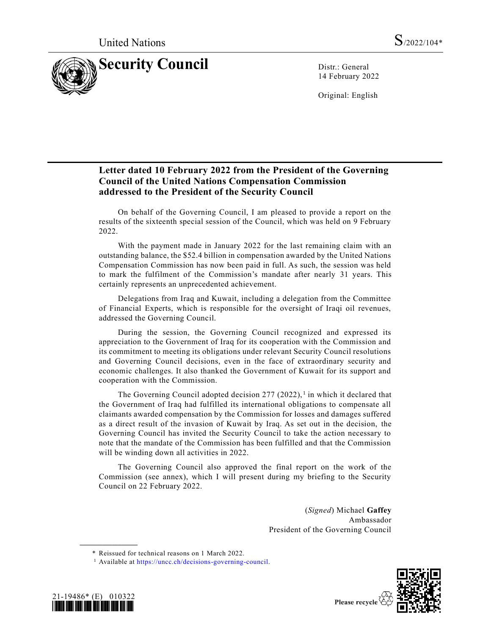

14 February 2022

Original: English

#### **Letter dated 10 February 2022 from the President of the Governing Council of the United Nations Compensation Commission addressed to the President of the Security Council**

On behalf of the Governing Council, I am pleased to provide a report on the results of the sixteenth special session of the Council, which was held on 9 February 2022.

With the payment made in January 2022 for the last remaining claim with an outstanding balance, the \$52.4 billion in compensation awarded by the United Nations Compensation Commission has now been paid in full. As such, the session was held to mark the fulfilment of the Commission's mandate after nearly 31 years. This certainly represents an unprecedented achievement.

Delegations from Iraq and Kuwait, including a delegation from the Committee of Financial Experts, which is responsible for the oversight of Iraqi oil revenues, addressed the Governing Council.

During the session, the Governing Council recognized and expressed its appreciation to the Government of Iraq for its cooperation with the Commission and its commitment to meeting its obligations under relevant Security Council resolutions and Governing Council decisions, even in the face of extraordinary security and economic challenges. It also thanked the Government of Kuwait for its support and cooperation with the Commission.

The Governing Council adopted decision  $277$  (2022),<sup>1</sup> in which it declared that the Government of Iraq had fulfilled its international obligations to compensate all claimants awarded compensation by the Commission for losses and damages suffered as a direct result of the invasion of Kuwait by Iraq. As set out in the decision, the Governing Council has invited the Security Council to take the action necessary to note that the mandate of the Commission has been fulfilled and that the Commission will be winding down all activities in 2022.

The Governing Council also approved the final report on the work of the Commission (see annex), which I will present during my briefing to the Security Council on 22 February 2022.

> (*Signed*) Michael **Gaffey** Ambassador President of the Governing Council

<sup>&</sup>lt;sup>1</sup> Available at [https://uncc.ch/decisions-governing-council.](https://uncc.ch/decisions-governing-council)



**\_\_\_\_\_\_\_\_\_\_\_\_\_\_\_\_\_\_**



<sup>\*</sup> Reissued for technical reasons on 1 March 2022.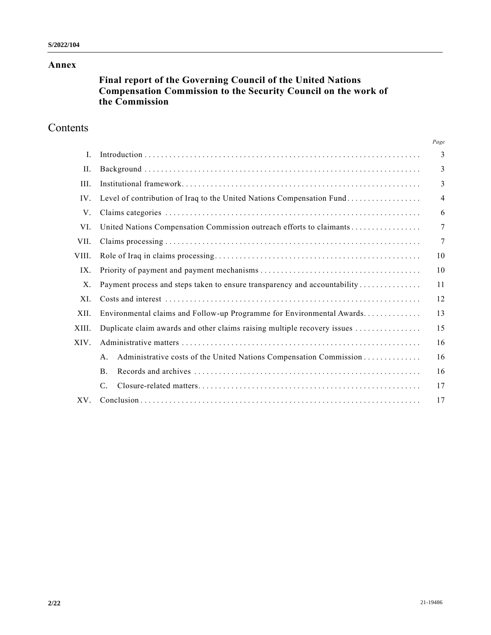#### **Annex**

## **Final report of the Governing Council of the United Nations Compensation Commission to the Security Council on the work of the Commission**

# Contents

|             |                                                                                      | Page           |
|-------------|--------------------------------------------------------------------------------------|----------------|
| I.          |                                                                                      | 3              |
| II.         |                                                                                      | 3              |
| III.        |                                                                                      | 3              |
| IV.         | Level of contribution of Iraq to the United Nations Compensation Fund                | $\overline{4}$ |
| V.          |                                                                                      | 6              |
| VI.         |                                                                                      | 7              |
| VII.        |                                                                                      | 7              |
| VIII.       |                                                                                      | 10             |
| IX.         |                                                                                      | 10             |
| $X_{\cdot}$ | Payment process and steps taken to ensure transparency and accountability            | 11             |
| XI.         |                                                                                      | 12             |
| XII.        | Environmental claims and Follow-up Programme for Environmental Awards                | 13             |
| XIII.       | Duplicate claim awards and other claims raising multiple recovery issues             | 15             |
| XIV.        |                                                                                      | 16             |
|             | Administrative costs of the United Nations Compensation Commission<br>A <sub>1</sub> | 16             |
|             | <b>B</b> .                                                                           | 16             |
|             | $\mathcal{C}$ .                                                                      | 17             |
| $XV$ .      |                                                                                      | 17             |
|             |                                                                                      |                |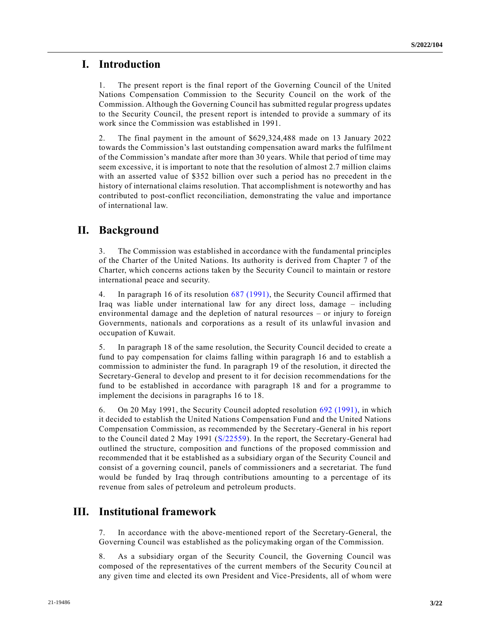### **I. Introduction**

1. The present report is the final report of the Governing Council of the United Nations Compensation Commission to the Security Council on the work of the Commission. Although the Governing Council has submitted regular progress updates to the Security Council, the present report is intended to provide a summary of its work since the Commission was established in 1991.

2. The final payment in the amount of \$629,324,488 made on 13 January 2022 towards the Commission's last outstanding compensation award marks the fulfilme nt of the Commission's mandate after more than 30 years. While that period of time may seem excessive, it is important to note that the resolution of almost 2.7 million claims with an asserted value of \$352 billion over such a period has no precedent in the history of international claims resolution. That accomplishment is noteworthy and has contributed to post-conflict reconciliation, demonstrating the value and importance of international law.

### **II. Background**

3. The Commission was established in accordance with the fundamental principles of the Charter of the United Nations. Its authority is derived from Chapter 7 of the Charter, which concerns actions taken by the Security Council to maintain or restore international peace and security.

4. In paragraph 16 of its resolution [687 \(1991\),](https://undocs.org/en/S/RES/687(1991)) the Security Council affirmed that Iraq was liable under international law for any direct loss, damage – including environmental damage and the depletion of natural resources – or injury to foreign Governments, nationals and corporations as a result of its unlawful invasion and occupation of Kuwait.

5. In paragraph 18 of the same resolution, the Security Council decided to create a fund to pay compensation for claims falling within paragraph 16 and to establish a commission to administer the fund. In paragraph 19 of the resolution, it directed the Secretary-General to develop and present to it for decision recommendations for the fund to be established in accordance with paragraph 18 and for a programme to implement the decisions in paragraphs 16 to 18.

6. On 20 May 1991, the Security Council adopted resolution [692 \(1991\),](https://undocs.org/en/S/RES/692(1991)) in which it decided to establish the United Nations Compensation Fund and the United Nations Compensation Commission, as recommended by the Secretary-General in his report to the Council dated 2 May 1991 [\(S/22559\)](https://undocs.org/en/S/22559). In the report, the Secretary-General had outlined the structure, composition and functions of the proposed commission and recommended that it be established as a subsidiary organ of the Security Council and consist of a governing council, panels of commissioners and a secretariat. The fund would be funded by Iraq through contributions amounting to a percentage of its revenue from sales of petroleum and petroleum products.

#### **III. Institutional framework**

7. In accordance with the above-mentioned report of the Secretary-General, the Governing Council was established as the policymaking organ of the Commission.

8. As a subsidiary organ of the Security Council, the Governing Council was composed of the representatives of the current members of the Security Cou ncil at any given time and elected its own President and Vice-Presidents, all of whom were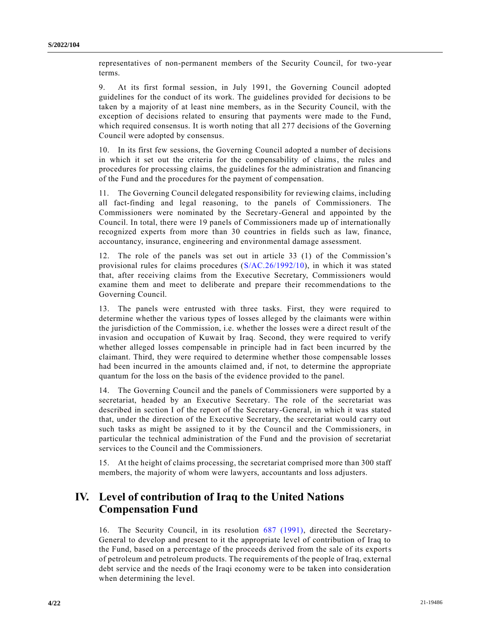representatives of non-permanent members of the Security Council, for two-year terms.

9. At its first formal session, in July 1991, the Governing Council adopted guidelines for the conduct of its work. The guidelines provided for decisions to be taken by a majority of at least nine members, as in the Security Council, with the exception of decisions related to ensuring that payments were made to the Fund, which required consensus. It is worth noting that all 277 decisions of the Governing Council were adopted by consensus.

10. In its first few sessions, the Governing Council adopted a number of decisions in which it set out the criteria for the compensability of claims, the rules and procedures for processing claims, the guidelines for the administration and financing of the Fund and the procedures for the payment of compensation.

11. The Governing Council delegated responsibility for reviewing claims, including all fact-finding and legal reasoning, to the panels of Commissioners. The Commissioners were nominated by the Secretary-General and appointed by the Council. In total, there were 19 panels of Commissioners made up of internationally recognized experts from more than 30 countries in fields such as law, finance, accountancy, insurance, engineering and environmental damage assessment.

12. The role of the panels was set out in article 33 (1) of the Commission's provisional rules for claims procedures [\(S/AC.26/1992/10\)](https://undocs.org/en/S/AC.26/1992/10), in which it was stated that, after receiving claims from the Executive Secretary, Commissioners would examine them and meet to deliberate and prepare their recommendations to the Governing Council.

13. The panels were entrusted with three tasks. First, they were required to determine whether the various types of losses alleged by the claimants were within the jurisdiction of the Commission, i.e. whether the losses were a direct result of the invasion and occupation of Kuwait by Iraq. Second, they were required to verify whether alleged losses compensable in principle had in fact been incurred by the claimant. Third, they were required to determine whether those compensable losses had been incurred in the amounts claimed and, if not, to determine the appropriate quantum for the loss on the basis of the evidence provided to the panel.

14. The Governing Council and the panels of Commissioners were supported by a secretariat, headed by an Executive Secretary. The role of the secretariat was described in section I of the report of the Secretary-General, in which it was stated that, under the direction of the Executive Secretary, the secretariat would carry out such tasks as might be assigned to it by the Council and the Commissioners, in particular the technical administration of the Fund and the provision of secretariat services to the Council and the Commissioners.

15. At the height of claims processing, the secretariat comprised more than 300 staff members, the majority of whom were lawyers, accountants and loss adjusters.

## **IV. Level of contribution of Iraq to the United Nations Compensation Fund**

16. The Security Council, in its resolution [687 \(1991\),](https://undocs.org/en/S/RES/687(1991)) directed the Secretary-General to develop and present to it the appropriate level of contribution of Iraq to the Fund, based on a percentage of the proceeds derived from the sale of its exports of petroleum and petroleum products. The requirements of the people of Iraq, external debt service and the needs of the Iraqi economy were to be taken into consideration when determining the level.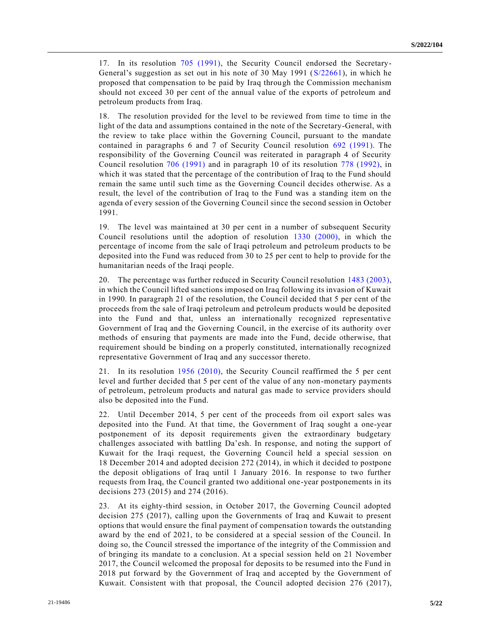17. In its resolution [705 \(1991\),](https://undocs.org/en/S/RES/705(1991)) the Security Council endorsed the Secretary-General's suggestion as set out in his note of 30 May 1991 [\(S/22661\)](https://undocs.org/en/S/22661), in which he proposed that compensation to be paid by Iraq through the Commission mechanism should not exceed 30 per cent of the annual value of the exports of petroleum and petroleum products from Iraq.

18. The resolution provided for the level to be reviewed from time to time in the light of the data and assumptions contained in the note of the Secretary-General, with the review to take place within the Governing Council, pursuant to the mandate contained in paragraphs 6 and 7 of Security Council resolution [692 \(1991\).](https://undocs.org/en/S/RES/692(1991)) The responsibility of the Governing Council was reiterated in paragraph 4 of Security Council resolution [706 \(1991\)](https://undocs.org/en/S/RES/706(1991)) and in paragraph 10 of its resolution [778 \(1992\),](https://undocs.org/en/S/RES/778(1992)) in which it was stated that the percentage of the contribution of Iraq to the Fund should remain the same until such time as the Governing Council decides otherwise. As a result, the level of the contribution of Iraq to the Fund was a standing item on the agenda of every session of the Governing Council since the second session in October 1991.

19. The level was maintained at 30 per cent in a number of subsequent Security Council resolutions until the adoption of resolution [1330 \(2000\),](https://undocs.org/en/S/RES/1330(2000)) in which the percentage of income from the sale of Iraqi petroleum and petroleum products to be deposited into the Fund was reduced from 30 to 25 per cent to help to provide for the humanitarian needs of the Iraqi people.

20. The percentage was further reduced in Security Council resolution [1483 \(2003\),](https://undocs.org/en/S/RES/1483(2003)) in which the Council lifted sanctions imposed on Iraq following its invasion of Kuwait in 1990. In paragraph 21 of the resolution, the Council decided that 5 per cent of the proceeds from the sale of Iraqi petroleum and petroleum products would be deposited into the Fund and that, unless an internationally recognized representative Government of Iraq and the Governing Council, in the exercise of its authority over methods of ensuring that payments are made into the Fund, decide otherwise, that requirement should be binding on a properly constituted, internationally recognized representative Government of Iraq and any successor thereto.

21. In its resolution [1956 \(2010\),](https://undocs.org/en/S/RES/1956(2010)) the Security Council reaffirmed the 5 per cent level and further decided that 5 per cent of the value of any non-monetary payments of petroleum, petroleum products and natural gas made to service providers should also be deposited into the Fund.

22. Until December 2014, 5 per cent of the proceeds from oil export sales was deposited into the Fund. At that time, the Government of Iraq sought a one-year postponement of its deposit requirements given the extraordinary budgetary challenges associated with battling Da'esh. In response, and noting the support of Kuwait for the Iraqi request, the Governing Council held a special session on 18 December 2014 and adopted decision 272 (2014), in which it decided to postpone the deposit obligations of Iraq until 1 January 2016. In response to two further requests from Iraq, the Council granted two additional one-year postponements in its decisions 273 (2015) and 274 (2016).

23. At its eighty-third session, in October 2017, the Governing Council adopted decision 275 (2017), calling upon the Governments of Iraq and Kuwait to present options that would ensure the final payment of compensation towards the outstanding award by the end of 2021, to be considered at a special session of the Council. In doing so, the Council stressed the importance of the integrity of the Commission and of bringing its mandate to a conclusion. At a special session held on 21 November 2017, the Council welcomed the proposal for deposits to be resumed into the Fund in 2018 put forward by the Government of Iraq and accepted by the Government of Kuwait. Consistent with that proposal, the Council adopted decision 276 (2017),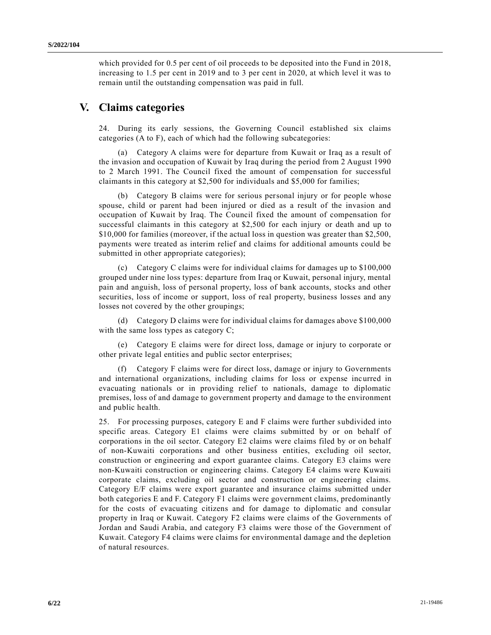which provided for 0.5 per cent of oil proceeds to be deposited into the Fund in 2018, increasing to 1.5 per cent in 2019 and to 3 per cent in 2020, at which level it was to remain until the outstanding compensation was paid in full.

### **V. Claims categories**

24. During its early sessions, the Governing Council established six claims categories (A to F), each of which had the following subcategories:

(a) Category A claims were for departure from Kuwait or Iraq as a result of the invasion and occupation of Kuwait by Iraq during the period from 2 August 1990 to 2 March 1991. The Council fixed the amount of compensation for successful claimants in this category at \$2,500 for individuals and \$5,000 for families;

(b) Category B claims were for serious personal injury or for people whose spouse, child or parent had been injured or died as a result of the invasion and occupation of Kuwait by Iraq. The Council fixed the amount of compensation for successful claimants in this category at \$2,500 for each injury or death and up to \$10,000 for families (moreover, if the actual loss in question was greater than \$2,500, payments were treated as interim relief and claims for additional amounts could be submitted in other appropriate categories);

Category C claims were for individual claims for damages up to \$100,000 grouped under nine loss types: departure from Iraq or Kuwait, personal injury, mental pain and anguish, loss of personal property, loss of bank accounts, stocks and other securities, loss of income or support, loss of real property, business losses and any losses not covered by the other groupings;

(d) Category D claims were for individual claims for damages above \$100,000 with the same loss types as category C;

(e) Category E claims were for direct loss, damage or injury to corporate or other private legal entities and public sector enterprises;

(f) Category F claims were for direct loss, damage or injury to Governments and international organizations, including claims for loss or expense incurred in evacuating nationals or in providing relief to nationals, damage to diplomatic premises, loss of and damage to government property and damage to the environment and public health.

25. For processing purposes, category E and F claims were further subdivided into specific areas. Category E1 claims were claims submitted by or on behalf of corporations in the oil sector. Category E2 claims were claims filed by or on behalf of non-Kuwaiti corporations and other business entities, excluding oil sector, construction or engineering and export guarantee claims. Category E3 claims were non-Kuwaiti construction or engineering claims. Category E4 claims were Kuwaiti corporate claims, excluding oil sector and construction or engineering claims. Category E/F claims were export guarantee and insurance claims submitted under both categories E and F. Category F1 claims were government claims, predominantly for the costs of evacuating citizens and for damage to diplomatic and consular property in Iraq or Kuwait. Category F2 claims were claims of the Governments of Jordan and Saudi Arabia, and category F3 claims were those of the Government of Kuwait. Category F4 claims were claims for environmental damage and the depletion of natural resources.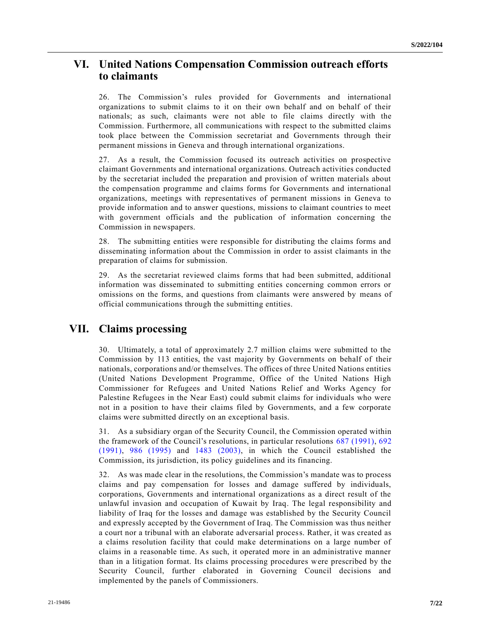## **VI. United Nations Compensation Commission outreach efforts to claimants**

26. The Commission's rules provided for Governments and international organizations to submit claims to it on their own behalf and on behalf of their nationals; as such, claimants were not able to file claims directly with the Commission. Furthermore, all communications with respect to the submitted claims took place between the Commission secretariat and Governments through their permanent missions in Geneva and through international organizations.

27. As a result, the Commission focused its outreach activities on prospective claimant Governments and international organizations. Outreach activities conducted by the secretariat included the preparation and provision of written materials about the compensation programme and claims forms for Governments and international organizations, meetings with representatives of permanent missions in Geneva to provide information and to answer questions, missions to claimant countries to meet with government officials and the publication of information concerning the Commission in newspapers.

28. The submitting entities were responsible for distributing the claims forms and disseminating information about the Commission in order to assist claimants in the preparation of claims for submission.

29. As the secretariat reviewed claims forms that had been submitted, additional information was disseminated to submitting entities concerning common errors or omissions on the forms, and questions from claimants were answered by means of official communications through the submitting entities.

## **VII. Claims processing**

30. Ultimately, a total of approximately 2.7 million claims were submitted to the Commission by 113 entities, the vast majority by Governments on behalf of their nationals, corporations and/or themselves. The offices of three United Nations entities (United Nations Development Programme, Office of the United Nations High Commissioner for Refugees and United Nations Relief and Works Agency for Palestine Refugees in the Near East) could submit claims for individuals who were not in a position to have their claims filed by Governments, and a few corporate claims were submitted directly on an exceptional basis.

31. As a subsidiary organ of the Security Council, the Commission operated within the framework of the Council's resolutions, in particular resolutions [687 \(1991\),](https://undocs.org/en/S/RES/687(1991)) [692](https://undocs.org/en/S/RES/692(1991))  [\(1991\),](https://undocs.org/en/S/RES/692(1991)) [986 \(1995\)](https://undocs.org/en/S/RES/986(1995)) and [1483 \(2003\),](https://undocs.org/en/S/RES/1483(2003)) in which the Council established the Commission, its jurisdiction, its policy guidelines and its financing.

32. As was made clear in the resolutions, the Commission's mandate was to process claims and pay compensation for losses and damage suffered by individuals, corporations, Governments and international organizations as a direct result of the unlawful invasion and occupation of Kuwait by Iraq. The legal responsibility and liability of Iraq for the losses and damage was established by the Security Council and expressly accepted by the Government of Iraq. The Commission was thus neither a court nor a tribunal with an elaborate adversarial process. Rather, it was created as a claims resolution facility that could make determinations on a large number of claims in a reasonable time. As such, it operated more in an administrative manner than in a litigation format. Its claims processing procedures were prescribed by the Security Council, further elaborated in Governing Council decisions and implemented by the panels of Commissioners.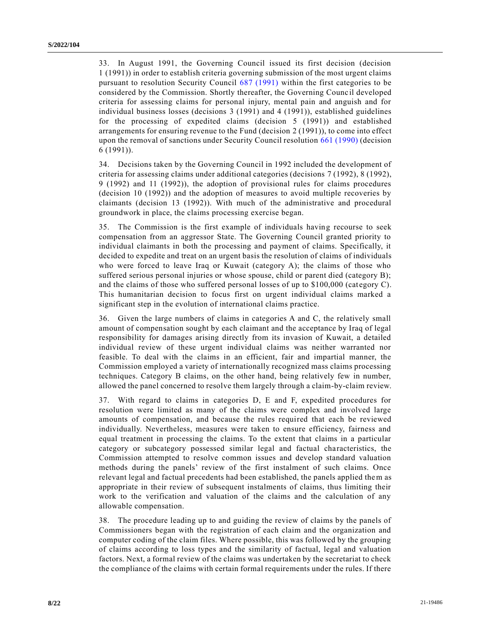33. In August 1991, the Governing Council issued its first decision (decision 1 (1991)) in order to establish criteria governing submission of the most urgent claims pursuant to resolution Security Council [687 \(1991\)](https://undocs.org/en/S/RES/687(1991)) within the first categories to be considered by the Commission. Shortly thereafter, the Governing Counc il developed criteria for assessing claims for personal injury, mental pain and anguish and for individual business losses (decisions 3 (1991) and 4 (1991)), established guidelines for the processing of expedited claims (decision 5 (1991)) and established arrangements for ensuring revenue to the Fund (decision 2 (1991)), to come into effect upon the removal of sanctions under Security Council resolution [661 \(1990\)](https://undocs.org/en/S/RES/661(1990)) (decision 6 (1991)).

34. Decisions taken by the Governing Council in 1992 included the development of criteria for assessing claims under additional categories (decisions 7 (1992), 8 (1992), 9 (1992) and 11 (1992)), the adoption of provisional rules for claims procedures (decision 10 (1992)) and the adoption of measures to avoid multiple recoveries by claimants (decision 13 (1992)). With much of the administrative and procedural groundwork in place, the claims processing exercise began.

35. The Commission is the first example of individuals having recourse to seek compensation from an aggressor State. The Governing Council granted priority to individual claimants in both the processing and payment of claims. Specifically, it decided to expedite and treat on an urgent basis the resolution of claims of individuals who were forced to leave Iraq or Kuwait (category A); the claims of those who suffered serious personal injuries or whose spouse, child or parent died (category B); and the claims of those who suffered personal losses of up to \$100,000 (category C). This humanitarian decision to focus first on urgent individual claims marked a significant step in the evolution of international claims practice.

36. Given the large numbers of claims in categories A and C, the relatively small amount of compensation sought by each claimant and the acceptance by Iraq of legal responsibility for damages arising directly from its invasion of Kuwait, a detailed individual review of these urgent individual claims was neither warranted nor feasible. To deal with the claims in an efficient, fair and impartial manner, the Commission employed a variety of internationally recognized mass claims processing techniques. Category B claims, on the other hand, being relatively few in number, allowed the panel concerned to resolve them largely through a claim-by-claim review.

37. With regard to claims in categories D, E and F, expedited procedures for resolution were limited as many of the claims were complex and involved large amounts of compensation, and because the rules required that each be reviewed individually. Nevertheless, measures were taken to ensure efficiency, fairness and equal treatment in processing the claims. To the extent that claims in a particular category or subcategory possessed similar legal and factual characteristics, the Commission attempted to resolve common issues and develop standard valuation methods during the panels' review of the first instalment of such claims. Once relevant legal and factual precedents had been established, the panels applied them as appropriate in their review of subsequent instalments of claims, thus limiting their work to the verification and valuation of the claims and the calculation of any allowable compensation.

38. The procedure leading up to and guiding the review of claims by the panels of Commissioners began with the registration of each claim and the organization and computer coding of the claim files. Where possible, this was followed by the grouping of claims according to loss types and the similarity of factual, legal and valuation factors. Next, a formal review of the claims was undertaken by the secretariat to check the compliance of the claims with certain formal requirements under the rules. If there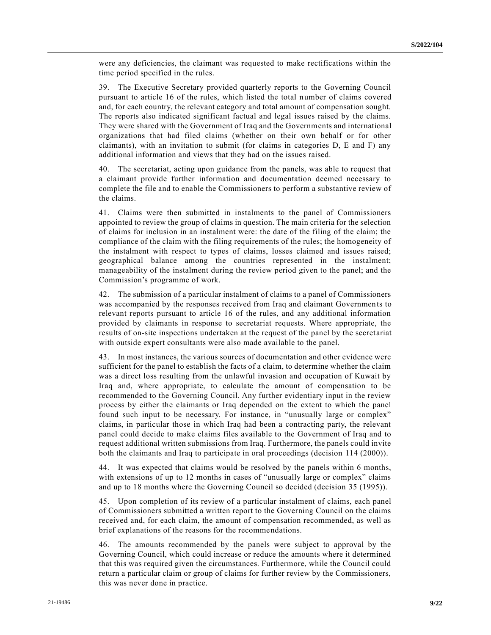were any deficiencies, the claimant was requested to make rectifications within the time period specified in the rules.

39. The Executive Secretary provided quarterly reports to the Governing Council pursuant to article 16 of the rules, which listed the total number of claims covered and, for each country, the relevant category and total amount of compensation sought. The reports also indicated significant factual and legal issues raised by the claims. They were shared with the Government of Iraq and the Governments and international organizations that had filed claims (whether on their own behalf or for other claimants), with an invitation to submit (for claims in categories D, E and F) any additional information and views that they had on the issues raised.

40. The secretariat, acting upon guidance from the panels, was able to request that a claimant provide further information and documentation deemed necessary to complete the file and to enable the Commissioners to perform a substantive review of the claims.

41. Claims were then submitted in instalments to the panel of Commissioners appointed to review the group of claims in question. The main criteria for the selection of claims for inclusion in an instalment were: the date of the filing of the claim; the compliance of the claim with the filing requirements of the rules; the homogeneity of the instalment with respect to types of claims, losses claimed and issues raised; geographical balance among the countries represented in the instalment; manageability of the instalment during the review period given to the panel; and the Commission's programme of work.

42. The submission of a particular instalment of claims to a panel of Commissioners was accompanied by the responses received from Iraq and claimant Governmen ts to relevant reports pursuant to article 16 of the rules, and any additional information provided by claimants in response to secretariat requests. Where appropriate, the results of on-site inspections undertaken at the request of the panel by the secretariat with outside expert consultants were also made available to the panel.

43. In most instances, the various sources of documentation and other evidence were sufficient for the panel to establish the facts of a claim, to determine whether the claim was a direct loss resulting from the unlawful invasion and occupation of Kuwait by Iraq and, where appropriate, to calculate the amount of compensation to be recommended to the Governing Council. Any further evidentiary input in the review process by either the claimants or Iraq depended on the extent to which the panel found such input to be necessary. For instance, in "unusually large or complex" claims, in particular those in which Iraq had been a contracting party, the relevant panel could decide to make claims files available to the Government of Iraq and to request additional written submissions from Iraq. Furthermore, the panels could invite both the claimants and Iraq to participate in oral proceedings (decision 114 (2000)).

44. It was expected that claims would be resolved by the panels within 6 months, with extensions of up to 12 months in cases of "unusually large or complex" claims and up to 18 months where the Governing Council so decided (decision 35 (1995)).

45. Upon completion of its review of a particular instalment of claims, each panel of Commissioners submitted a written report to the Governing Council on the claims received and, for each claim, the amount of compensation recommended, as well as brief explanations of the reasons for the recommendations.

46. The amounts recommended by the panels were subject to approval by the Governing Council, which could increase or reduce the amounts where it determined that this was required given the circumstances. Furthermore, while the Council could return a particular claim or group of claims for further review by the Commissioners, this was never done in practice.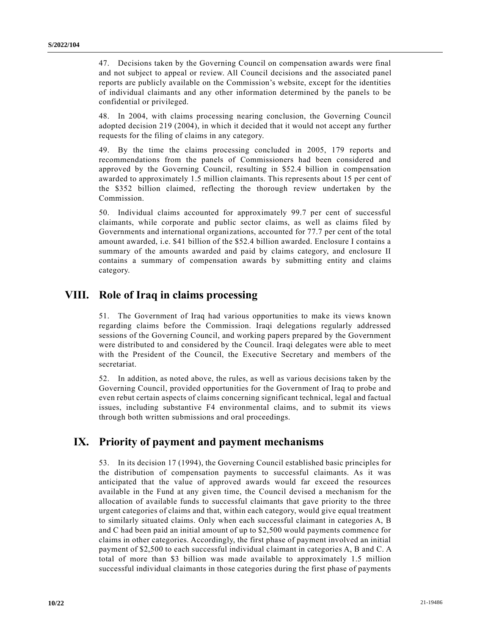47. Decisions taken by the Governing Council on compensation awards were final and not subject to appeal or review. All Council decisions and the associated panel reports are publicly available on the Commission's website, except for the identities of individual claimants and any other information determined by the panels to be confidential or privileged.

48. In 2004, with claims processing nearing conclusion, the Governing Council adopted decision 219 (2004), in which it decided that it would not accept any further requests for the filing of claims in any category.

49. By the time the claims processing concluded in 2005, 179 reports and recommendations from the panels of Commissioners had been considered and approved by the Governing Council, resulting in \$52.4 billion in compensation awarded to approximately 1.5 million claimants. This represents about 15 per cent of the \$352 billion claimed, reflecting the thorough review undertaken by the Commission.

50. Individual claims accounted for approximately 99.7 per cent of successful claimants, while corporate and public sector claims, as well as claims filed by Governments and international organizations, accounted for 77.7 per cent of the total amount awarded, i.e. \$41 billion of the \$52.4 billion awarded. Enclosure I contains a summary of the amounts awarded and paid by claims category, and enclosure II contains a summary of compensation awards by submitting entity and claims category.

### **VIII. Role of Iraq in claims processing**

51. The Government of Iraq had various opportunities to make its views known regarding claims before the Commission. Iraqi delegations regularly addressed sessions of the Governing Council, and working papers prepared by the Government were distributed to and considered by the Council. Iraqi delegates were able to meet with the President of the Council, the Executive Secretary and members of the secretariat.

52. In addition, as noted above, the rules, as well as various decisions taken by the Governing Council, provided opportunities for the Government of Iraq to probe and even rebut certain aspects of claims concerning significant technical, legal and factual issues, including substantive F4 environmental claims, and to submit its views through both written submissions and oral proceedings.

### **IX. Priority of payment and payment mechanisms**

53. In its decision 17 (1994), the Governing Council established basic principles for the distribution of compensation payments to successful claimants. As it was anticipated that the value of approved awards would far exceed the resources available in the Fund at any given time, the Council devised a mechanism for the allocation of available funds to successful claimants that gave priority to the three urgent categories of claims and that, within each category, would give equal treatment to similarly situated claims. Only when each successful claimant in categories A, B and C had been paid an initial amount of up to \$2,500 would payments commence for claims in other categories. Accordingly, the first phase of payment involved an initial payment of \$2,500 to each successful individual claimant in categories A, B and C. A total of more than \$3 billion was made available to approximately 1.5 million successful individual claimants in those categories during the first phase of payments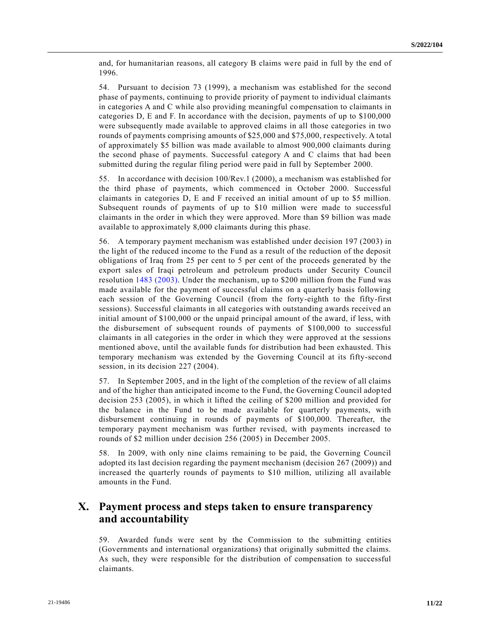and, for humanitarian reasons, all category B claims were paid in full by the end of 1996.

54. Pursuant to decision 73 (1999), a mechanism was established for the second phase of payments, continuing to provide priority of payment to individual claimants in categories A and C while also providing meaningful compensation to claimants in categories D, E and F. In accordance with the decision, payments of up to \$100,000 were subsequently made available to approved claims in all those categories in two rounds of payments comprising amounts of \$25,000 and \$75,000, respectively. A total of approximately \$5 billion was made available to almost 900,000 claimants during the second phase of payments. Successful category A and C claims that had been submitted during the regular filing period were paid in full by September 2000.

55. In accordance with decision 100/Rev.1 (2000), a mechanism was established for the third phase of payments, which commenced in October 2000. Successful claimants in categories D, E and F received an initial amount of up to \$5 million. Subsequent rounds of payments of up to \$10 million were made to successful claimants in the order in which they were approved. More than \$9 billion was made available to approximately 8,000 claimants during this phase.

56. A temporary payment mechanism was established under decision 197 (2003) in the light of the reduced income to the Fund as a result of the reduction of the deposit obligations of Iraq from 25 per cent to 5 per cent of the proceeds generated by the export sales of Iraqi petroleum and petroleum products under Security Council resolution [1483 \(2003\).](https://undocs.org/en/S/RES/1483(2003)) Under the mechanism, up to \$200 million from the Fund was made available for the payment of successful claims on a quarterly basis following each session of the Governing Council (from the forty-eighth to the fifty-first sessions). Successful claimants in all categories with outstanding awards received an initial amount of \$100,000 or the unpaid principal amount of the award, if less, with the disbursement of subsequent rounds of payments of \$100,000 to successful claimants in all categories in the order in which they were approved at the sessions mentioned above, until the available funds for distribution had been exhausted. This temporary mechanism was extended by the Governing Council at its fifty-second session, in its decision 227 (2004).

57. In September 2005, and in the light of the completion of the review of all claims and of the higher than anticipated income to the Fund, the Governing Council adopted decision 253 (2005), in which it lifted the ceiling of \$200 million and provided for the balance in the Fund to be made available for quarterly payments, with disbursement continuing in rounds of payments of \$100,000. Thereafter, the temporary payment mechanism was further revised, with payments increased to rounds of \$2 million under decision 256 (2005) in December 2005.

58. In 2009, with only nine claims remaining to be paid, the Governing Council adopted its last decision regarding the payment mechanism (decision 267 (2009)) and increased the quarterly rounds of payments to \$10 million, utilizing all available amounts in the Fund.

## **X. Payment process and steps taken to ensure transparency and accountability**

59. Awarded funds were sent by the Commission to the submitting entities (Governments and international organizations) that originally submitted the claims. As such, they were responsible for the distribution of compensation to successful claimants.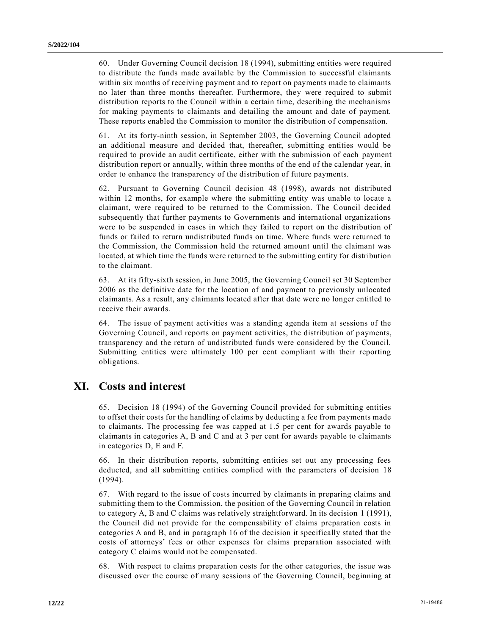60. Under Governing Council decision 18 (1994), submitting entities were required to distribute the funds made available by the Commission to successful claimants within six months of receiving payment and to report on payments made to claimants no later than three months thereafter. Furthermore, they were required to submit distribution reports to the Council within a certain time, describing the mechanisms for making payments to claimants and detailing the amount and date of payment. These reports enabled the Commission to monitor the distribution of compensation.

61. At its forty-ninth session, in September 2003, the Governing Council adopted an additional measure and decided that, thereafter, submitting entities would be required to provide an audit certificate, either with the submission of each payment distribution report or annually, within three months of the end of the calendar year, in order to enhance the transparency of the distribution of future payments.

62. Pursuant to Governing Council decision 48 (1998), awards not distributed within 12 months, for example where the submitting entity was unable to locate a claimant, were required to be returned to the Commission. The Council decided subsequently that further payments to Governments and international organizations were to be suspended in cases in which they failed to report on the distribution of funds or failed to return undistributed funds on time. Where funds were returned to the Commission, the Commission held the returned amount until the claimant was located, at which time the funds were returned to the submitting entity for distribution to the claimant.

63. At its fifty-sixth session, in June 2005, the Governing Council set 30 September 2006 as the definitive date for the location of and payment to previously unlocated claimants. As a result, any claimants located after that date were no longer entitled to receive their awards.

64. The issue of payment activities was a standing agenda item at sessions of the Governing Council, and reports on payment activities, the distribution of payments, transparency and the return of undistributed funds were considered by the Council. Submitting entities were ultimately 100 per cent compliant with their reporting obligations.

## **XI. Costs and interest**

65. Decision 18 (1994) of the Governing Council provided for submitting entities to offset their costs for the handling of claims by deducting a fee from payments made to claimants. The processing fee was capped at 1.5 per cent for awards payable to claimants in categories A, B and C and at 3 per cent for awards payable to claimants in categories D, E and F.

66. In their distribution reports, submitting entities set out any processing fees deducted, and all submitting entities complied with the parameters of decision 18 (1994).

67. With regard to the issue of costs incurred by claimants in preparing claims and submitting them to the Commission, the position of the Governing Council in relation to category A, B and C claims was relatively straightforward. In its decision 1 (1991), the Council did not provide for the compensability of claims preparation costs in categories A and B, and in paragraph 16 of the decision it specifically stated that the costs of attorneys' fees or other expenses for claims preparation associated with category C claims would not be compensated.

68. With respect to claims preparation costs for the other categories, the issue was discussed over the course of many sessions of the Governing Council, beginning at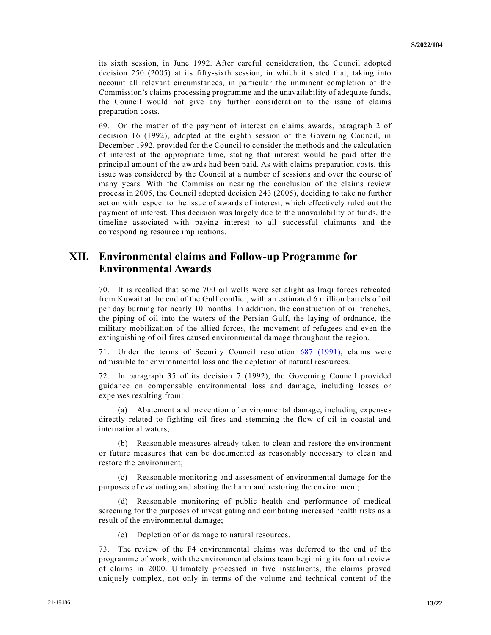its sixth session, in June 1992. After careful consideration, the Council adopted decision 250 (2005) at its fifty-sixth session, in which it stated that, taking into account all relevant circumstances, in particular the imminent completion of the Commission's claims processing programme and the unavailability of adequate funds, the Council would not give any further consideration to the issue of claims preparation costs.

69. On the matter of the payment of interest on claims awards, paragraph 2 of decision 16 (1992), adopted at the eighth session of the Governing Council, in December 1992, provided for the Council to consider the methods and the calculation of interest at the appropriate time, stating that interest would be paid after the principal amount of the awards had been paid. As with claims preparation costs, this issue was considered by the Council at a number of sessions and over the course of many years. With the Commission nearing the conclusion of the claims review process in 2005, the Council adopted decision 243 (2005), deciding to take no further action with respect to the issue of awards of interest, which effectively ruled out the payment of interest. This decision was largely due to the unavailability of funds, the timeline associated with paying interest to all successful claimants and the corresponding resource implications.

### **XII. Environmental claims and Follow-up Programme for Environmental Awards**

70. It is recalled that some 700 oil wells were set alight as Iraqi forces retreated from Kuwait at the end of the Gulf conflict, with an estimated 6 million barrels of oil per day burning for nearly 10 months. In addition, the construction of oil trenches, the piping of oil into the waters of the Persian Gulf, the laying of ordnance, the military mobilization of the allied forces, the movement of refugees and even the extinguishing of oil fires caused environmental damage throughout the region.

71. Under the terms of Security Council resolution [687 \(1991\),](https://undocs.org/en/S/RES/687(1991)) claims were admissible for environmental loss and the depletion of natural resources.

72. In paragraph 35 of its decision 7 (1992), the Governing Council provided guidance on compensable environmental loss and damage, including losses or expenses resulting from:

(a) Abatement and prevention of environmental damage, including expense s directly related to fighting oil fires and stemming the flow of oil in coastal and international waters;

(b) Reasonable measures already taken to clean and restore the environment or future measures that can be documented as reasonably necessary to clean and restore the environment;

(c) Reasonable monitoring and assessment of environmental damage for the purposes of evaluating and abating the harm and restoring the environment;

(d) Reasonable monitoring of public health and performance of medical screening for the purposes of investigating and combating increased health risks as a result of the environmental damage;

(e) Depletion of or damage to natural resources.

73. The review of the F4 environmental claims was deferred to the end of the programme of work, with the environmental claims team beginning its formal review of claims in 2000. Ultimately processed in five instalments, the claims proved uniquely complex, not only in terms of the volume and technical content of the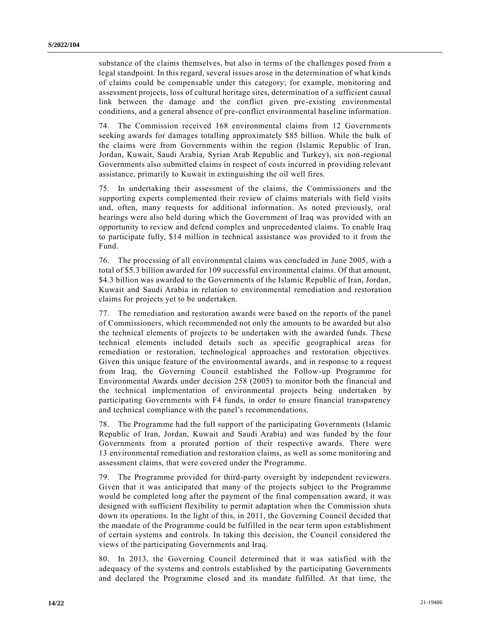substance of the claims themselves, but also in terms of the challenges posed from a legal standpoint. In this regard, several issues arose in the determination of what kinds of claims could be compensable under this category; for example, monitoring and assessment projects, loss of cultural heritage sites, determination of a sufficient causal link between the damage and the conflict given pre-existing environmental conditions, and a general absence of pre-conflict environmental baseline information.

74. The Commission received 168 environmental claims from 12 Governments seeking awards for damages totalling approximately \$85 billion. While the bulk of the claims were from Governments within the region (Islamic Republic of Iran, Jordan, Kuwait, Saudi Arabia, Syrian Arab Republic and Turkey), six non-regional Governments also submitted claims in respect of costs incurred in providing relevant assistance, primarily to Kuwait in extinguishing the oil well fires.

75. In undertaking their assessment of the claims, the Commissioners and the supporting experts complemented their review of claims materials with field visits and, often, many requests for additional information. As noted previously, oral hearings were also held during which the Government of Iraq was provided with an opportunity to review and defend complex and unprecedented claims. To enable Iraq to participate fully, \$14 million in technical assistance was provided to it from the Fund.

76. The processing of all environmental claims was concluded in June 2005, with a total of \$5.3 billion awarded for 109 successful environmental claims. Of that amount, \$4.3 billion was awarded to the Governments of the Islamic Republic of Iran, Jordan, Kuwait and Saudi Arabia in relation to environmental remediation and restoration claims for projects yet to be undertaken.

77. The remediation and restoration awards were based on the reports of the panel of Commissioners, which recommended not only the amounts to be awarded but also the technical elements of projects to be undertaken with the awarded funds. These technical elements included details such as specific geographical areas for remediation or restoration, technological approaches and restoration objectives. Given this unique feature of the environmental awards, and in response to a request from Iraq, the Governing Council established the Follow-up Programme for Environmental Awards under decision 258 (2005) to monitor both the financial and the technical implementation of environmental projects being undertaken by participating Governments with F4 funds, in order to ensure financial transparency and technical compliance with the panel's recommendations.

78. The Programme had the full support of the participating Governments (Islamic Republic of Iran, Jordan, Kuwait and Saudi Arabia) and was funded by the four Governments from a prorated portion of their respective awards. There were 13 environmental remediation and restoration claims, as well as some monitoring and assessment claims, that were covered under the Programme.

79. The Programme provided for third-party oversight by independent reviewers. Given that it was anticipated that many of the projects subject to the Programme would be completed long after the payment of the final compensation award, it was designed with sufficient flexibility to permit adaptation when the Commission shuts down its operations. In the light of this, in 2011, the Governing Council decided that the mandate of the Programme could be fulfilled in the near term upon establishment of certain systems and controls. In taking this decision, the Council considered the views of the participating Governments and Iraq.

80. In 2013, the Governing Council determined that it was satisfied with the adequacy of the systems and controls established by the participating Governments and declared the Programme closed and its mandate fulfilled. At that time, the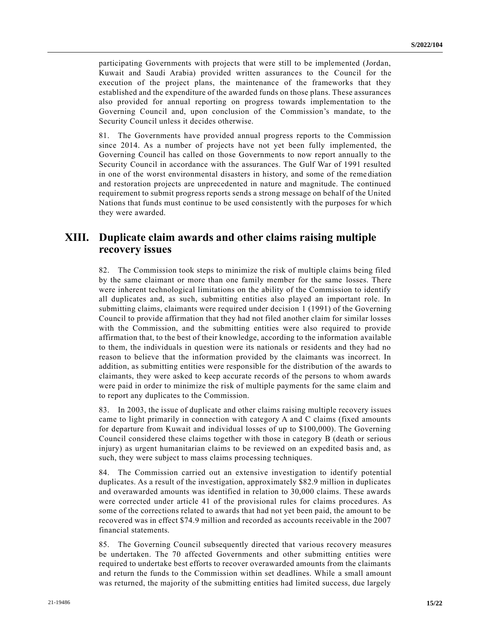participating Governments with projects that were still to be implemented (Jordan, Kuwait and Saudi Arabia) provided written assurances to the Council for the execution of the project plans, the maintenance of the frameworks that they established and the expenditure of the awarded funds on those plans. These assurances also provided for annual reporting on progress towards implementation to the Governing Council and, upon conclusion of the Commission's mandate, to the Security Council unless it decides otherwise.

81. The Governments have provided annual progress reports to the Commission since 2014. As a number of projects have not yet been fully implemented, the Governing Council has called on those Governments to now report annually to the Security Council in accordance with the assurances. The Gulf War of 1991 resulted in one of the worst environmental disasters in history, and some of the reme diation and restoration projects are unprecedented in nature and magnitude. The continued requirement to submit progress reports sends a strong message on behalf of the United Nations that funds must continue to be used consistently with the purposes for which they were awarded.

## **XIII. Duplicate claim awards and other claims raising multiple recovery issues**

82. The Commission took steps to minimize the risk of multiple claims being filed by the same claimant or more than one family member for the same losses. There were inherent technological limitations on the ability of the Commission to identify all duplicates and, as such, submitting entities also played an important role. In submitting claims, claimants were required under decision 1 (1991) of the Governing Council to provide affirmation that they had not filed another claim for similar losses with the Commission, and the submitting entities were also required to provide affirmation that, to the best of their knowledge, according to the information available to them, the individuals in question were its nationals or residents and they had no reason to believe that the information provided by the claimants was incorrect. In addition, as submitting entities were responsible for the distribution of the awards to claimants, they were asked to keep accurate records of the persons to whom awards were paid in order to minimize the risk of multiple payments for the same claim and to report any duplicates to the Commission.

83. In 2003, the issue of duplicate and other claims raising multiple recovery issues came to light primarily in connection with category A and C claims (fixed amounts for departure from Kuwait and individual losses of up to \$100,000). The Governing Council considered these claims together with those in category B (death or serious injury) as urgent humanitarian claims to be reviewed on an expedited basis and, as such, they were subject to mass claims processing techniques.

84. The Commission carried out an extensive investigation to identify potential duplicates. As a result of the investigation, approximately \$82.9 million in duplicates and overawarded amounts was identified in relation to 30,000 claims. These awards were corrected under article 41 of the provisional rules for claims proced ures. As some of the corrections related to awards that had not yet been paid, the amount to be recovered was in effect \$74.9 million and recorded as accounts receivable in the 2007 financial statements.

85. The Governing Council subsequently directed that various recovery measures be undertaken. The 70 affected Governments and other submitting entities were required to undertake best efforts to recover overawarded amounts from the claimants and return the funds to the Commission within set deadlines. While a small amount was returned, the majority of the submitting entities had limited success, due largely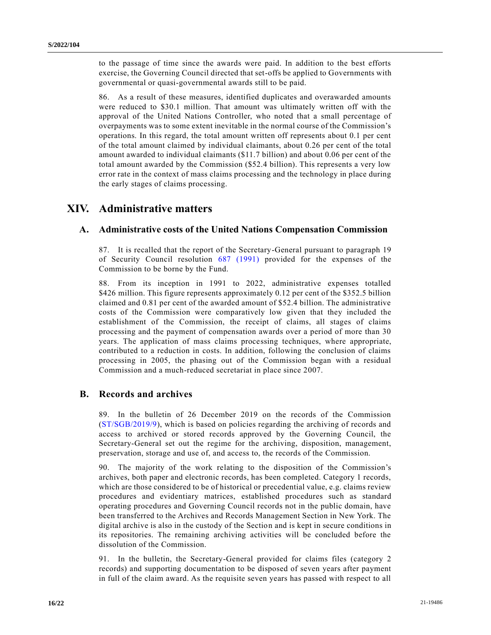to the passage of time since the awards were paid. In addition to the best efforts exercise, the Governing Council directed that set-offs be applied to Governments with governmental or quasi-governmental awards still to be paid.

86. As a result of these measures, identified duplicates and overawarded amounts were reduced to \$30.1 million. That amount was ultimately written off with the approval of the United Nations Controller, who noted that a small percentage of overpayments was to some extent inevitable in the normal course of the Commission's operations. In this regard, the total amount written off represents about 0.1 per cent of the total amount claimed by individual claimants, about 0.26 per cent of the total amount awarded to individual claimants (\$11.7 billion) and about 0.06 per cent of the total amount awarded by the Commission (\$52.4 billion). This represents a very low error rate in the context of mass claims processing and the technology in place during the early stages of claims processing.

## **XIV. Administrative matters**

#### **A. Administrative costs of the United Nations Compensation Commission**

87. It is recalled that the report of the Secretary-General pursuant to paragraph 19 of Security Council resolution [687 \(1991\)](https://undocs.org/en/S/RES/687(1991)) provided for the expenses of the Commission to be borne by the Fund.

88. From its inception in 1991 to 2022, administrative expenses totalled \$426 million. This figure represents approximately 0.12 per cent of the \$352.5 billion claimed and 0.81 per cent of the awarded amount of \$52.4 billion. The administrative costs of the Commission were comparatively low given that they included the establishment of the Commission, the receipt of claims, all stages of claims processing and the payment of compensation awards over a period of more than 30 years. The application of mass claims processing techniques, where appropriate, contributed to a reduction in costs. In addition, following the conclusion of claims processing in 2005, the phasing out of the Commission began with a residual Commission and a much-reduced secretariat in place since 2007.

#### **B. Records and archives**

89. In the bulletin of 26 December 2019 on the records of the Commission [\(ST/SGB/2019/9\)](https://undocs.org/en/ST/SGB/2019/9), which is based on policies regarding the archiving of records and access to archived or stored records approved by the Governing Council, the Secretary-General set out the regime for the archiving, disposition, management, preservation, storage and use of, and access to, the records of the Commission.

90. The majority of the work relating to the disposition of the Commission's archives, both paper and electronic records, has been completed. Category 1 records, which are those considered to be of historical or precedential value, e.g. claims review procedures and evidentiary matrices, established procedures such as standard operating procedures and Governing Council records not in the public domain, have been transferred to the Archives and Records Management Section in New York. The digital archive is also in the custody of the Section and is kept in secure conditions in its repositories. The remaining archiving activities will be concluded before the dissolution of the Commission.

91. In the bulletin, the Secretary-General provided for claims files (category 2 records) and supporting documentation to be disposed of seven years after payment in full of the claim award. As the requisite seven years has passed with respect to all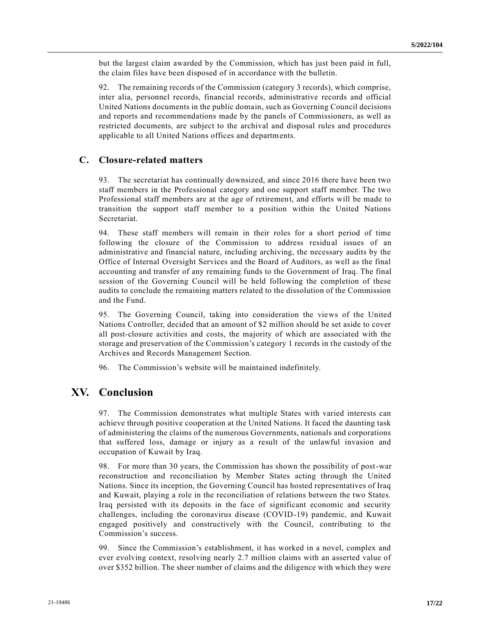but the largest claim awarded by the Commission, which has just been paid in full, the claim files have been disposed of in accordance with the bulletin.

92. The remaining records of the Commission (category 3 records), which comprise, inter alia, personnel records, financial records, administrative records and official United Nations documents in the public domain, such as Governing Council decisions and reports and recommendations made by the panels of Commissioners, as well as restricted documents, are subject to the archival and disposal rules and procedures applicable to all United Nations offices and departments.

#### **C. Closure-related matters**

93. The secretariat has continually downsized, and since 2016 there have been two staff members in the Professional category and one support staff member. The two Professional staff members are at the age of retirement, and efforts will be made to transition the support staff member to a position within the United Nations Secretariat.

94. These staff members will remain in their roles for a short period of time following the closure of the Commission to address residual issues of an administrative and financial nature, including archiving, the necessary audits by the Office of Internal Oversight Services and the Board of Auditors, as well as the final accounting and transfer of any remaining funds to the Government of Iraq. The final session of the Governing Council will be held following the completion of these audits to conclude the remaining matters related to the dissolution of the Commission and the Fund.

95. The Governing Council, taking into consideration the views of the United Nations Controller, decided that an amount of \$2 million should be set aside to cover all post-closure activities and costs, the majority of which are associated with the storage and preservation of the Commission's category 1 records in the custody of the Archives and Records Management Section.

96. The Commission's website will be maintained indefinitely.

### **XV. Conclusion**

97. The Commission demonstrates what multiple States with varied interests can achieve through positive cooperation at the United Nations. It faced the daunting task of administering the claims of the numerous Governments, nationals and corporations that suffered loss, damage or injury as a result of the unlawful invasion and occupation of Kuwait by Iraq.

98. For more than 30 years, the Commission has shown the possibility of post-war reconstruction and reconciliation by Member States acting through the United Nations. Since its inception, the Governing Council has hosted representatives of Iraq and Kuwait, playing a role in the reconciliation of relations between the two States. Iraq persisted with its deposits in the face of significant economic and security challenges, including the coronavirus disease (COVID-19) pandemic, and Kuwait engaged positively and constructively with the Council, contributing to the Commission's success.

99. Since the Commission's establishment, it has worked in a novel, complex and ever evolving context, resolving nearly 2.7 million claims with an asserted value of over \$352 billion. The sheer number of claims and the diligence with which they were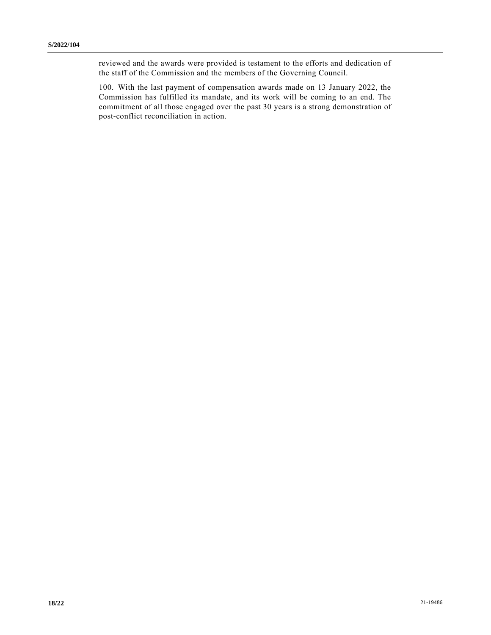reviewed and the awards were provided is testament to the efforts and dedication of the staff of the Commission and the members of the Governing Council.

100. With the last payment of compensation awards made on 13 January 2022, the Commission has fulfilled its mandate, and its work will be coming to an end. The commitment of all those engaged over the past 30 years is a strong demonstration of post-conflict reconciliation in action.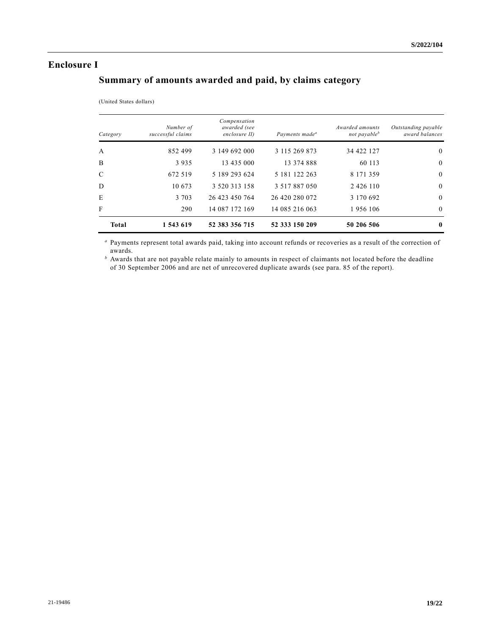#### **Enclosure I**

## **Summary of amounts awarded and paid, by claims category**

|  | (United States dollars) |  |
|--|-------------------------|--|
|  |                         |  |

| Category      | Number of<br>successful claims | Compensation<br>awarded (see<br>enclosure II) | Payments made <sup>a</sup> | <i>Awarded amounts</i><br>not payable <sup>b</sup> | Outstanding payable<br>award balances |
|---------------|--------------------------------|-----------------------------------------------|----------------------------|----------------------------------------------------|---------------------------------------|
| $\mathbf{A}$  | 852499                         | 3 149 692 000                                 | 3 115 269 873              | 34 422 127                                         | $\theta$                              |
| B             | 3935                           | 13 435 000                                    | 13 374 888                 | 60 113                                             | $\overline{0}$                        |
| $\mathcal{C}$ | 672 519                        | 5 189 293 624                                 | 5 181 122 263              | 8 171 359                                          | $\overline{0}$                        |
| D             | 10 673                         | 3 520 313 158                                 | 3 5 1 7 8 8 7 0 5 0        | 2 4 2 6 1 1 0                                      | $\overline{0}$                        |
| E             | 3 7 0 3                        | 26 423 450 764                                | 26 420 280 072             | 3 170 692                                          | $\overline{0}$                        |
| F             | 290                            | 14 087 172 169                                | 14 085 216 063             | 1956 106                                           | $\theta$                              |
| <b>Total</b>  | 1 543 619                      | 52 383 356 715                                | 52 333 150 209             | 50 206 506                                         | $\mathbf{0}$                          |

*<sup>a</sup>* Payments represent total awards paid, taking into account refunds or recoveries as a result of the correction of awards.

*<sup>b</sup>* Awards that are not payable relate mainly to amounts in respect of claimants not located before the deadline of 30 September 2006 and are net of unrecovered duplicate awards (see para. 85 of the report).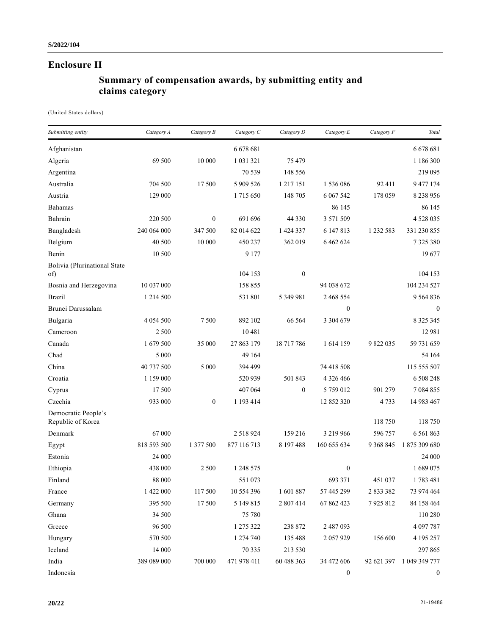## **Enclosure II**

## **Summary of compensation awards, by submitting entity and claims category**

(United States dollars)

| Submitting entity                        | Category A  | Category B       | Category C    | Category D       | Category E       | Category F  | Total            |
|------------------------------------------|-------------|------------------|---------------|------------------|------------------|-------------|------------------|
| Afghanistan                              |             |                  | 6 678 681     |                  |                  |             | 6 678 681        |
| Algeria                                  | 69 500      | 10 000           | 1 0 3 1 3 2 1 | 75 479           |                  |             | 1 186 300        |
| Argentina                                |             |                  | 70 539        | 148 556          |                  |             | 219 095          |
| Australia                                | 704 500     | 17 500           | 5 909 526     | 1 2 1 7 1 5 1    | 1536086          | 92 411      | 9 477 174        |
| Austria                                  | 129 000     |                  | 1715650       | 148 705          | 6 0 67 5 42      | 178 059     | 8 2 3 9 9 5 6    |
| Bahamas                                  |             |                  |               |                  | 86 145           |             | 86 145           |
| Bahrain                                  | 220 500     | $\theta$         | 691 696       | 44 3 3 0         | 3 571 509        |             | 4 5 28 0 35      |
| Bangladesh                               | 240 064 000 | 347 500          | 82 014 622    | 1 424 337        | 6 147 8 13       | 1 232 583   | 331 230 855      |
| Belgium                                  | 40 500      | 10 000           | 450 237       | 362 019          | 6 4 6 2 6 2 4    |             | 7325380          |
| Benin                                    | 10 500      |                  | 9 1 7 7       |                  |                  |             | 19677            |
| Bolivia (Plurinational State<br>of)      |             |                  | 104 153       | $\boldsymbol{0}$ |                  |             | 104 153          |
| Bosnia and Herzegovina                   | 10 037 000  |                  | 158 855       |                  | 94 038 672       |             | 104 234 527      |
| <b>Brazil</b>                            | 1 214 500   |                  | 531 801       | 5 349 981        | 2 468 554        |             | 9 5 6 4 8 3 6    |
| Brunei Darussalam                        |             |                  |               |                  | $\boldsymbol{0}$ |             | $\boldsymbol{0}$ |
| Bulgaria                                 | 4 0 54 5 00 | 7 500            | 892 102       | 66 564           | 3 304 679        |             | 8 3 2 5 3 4 5    |
| Cameroon                                 | 2 500       |                  | 10481         |                  |                  |             | 12 981           |
| Canada                                   | 1 679 500   | 35 000           | 27 863 179    | 18 717 786       | 1614 159         | 9 822 035   | 59 731 659       |
| Chad                                     | 5 000       |                  | 49 164        |                  |                  |             | 54 164           |
| China                                    | 40 737 500  | 5 000            | 394 499       |                  | 74 418 508       |             | 115 555 507      |
| Croatia                                  | 1 159 000   |                  | 520 939       | 501 843          | 4 3 2 6 4 6 6    |             | 6 508 248        |
| Cyprus                                   | 17 500      |                  | 407 064       | $\boldsymbol{0}$ | 5 759 012        | 901 279     | 7 0 8 4 8 5 5    |
| Czechia                                  | 933 000     | $\boldsymbol{0}$ | 1 193 414     |                  | 12 852 320       | 4733        | 14 983 467       |
| Democratic People's<br>Republic of Korea |             |                  |               |                  |                  | 118 750     | 118 750          |
| Denmark                                  | 67 000      |                  | 2 5 18 9 24   | 159 216          | 3 219 966        | 596 757     | 6 5 6 1 8 6 3    |
| Egypt                                    | 818 593 500 | 1 377 500        | 877 116 713   | 8 197 488        | 160 655 634      | 9 3 68 8 45 | 1875 309 680     |
| Estonia                                  | 24 000      |                  |               |                  |                  |             | 24 000           |
| Ethiopia                                 | 438 000     | 2 500            | 1 248 575     |                  | $\boldsymbol{0}$ |             | 1689075          |
| Finland                                  | 88 000      |                  | 551 073       |                  | 693 371          | 451 037     | 1783 481         |
| France                                   | 1 422 000   | 117 500          | 10 554 396    | 1601887          | 57 445 299       | 2 833 382   | 73 974 464       |
| Germany                                  | 395 500     | 17 500           | 5 149 8 15    | 2 807 414        | 67 862 423       | 7925812     | 84 158 464       |
| Ghana                                    | 34 500      |                  | 75 780        |                  |                  |             | 110 280          |
| Greece                                   | 96 500      |                  | 1 275 322     | 238 872          | 2 487 093        |             | 4 097 787        |
| Hungary                                  | 570 500     |                  | 1 274 740     | 135 488          | 2057929          | 156 600     | 4 195 257        |
| Iceland                                  | 14 000      |                  | 70 335        | 213 530          |                  |             | 297 865          |
| India                                    | 389 089 000 | 700 000          | 471 978 411   | 60 488 363       | 34 472 606       | 92 621 397  | 1 049 349 777    |
| Indonesia                                |             |                  |               |                  | $\boldsymbol{0}$ |             | $\boldsymbol{0}$ |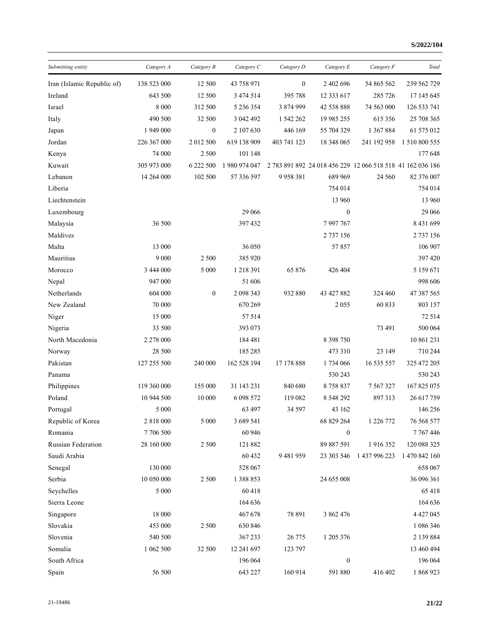| Submitting entity          | Category A  | Category B   | Category C    | Category D       | Category E       | Category F                                                 | Total         |
|----------------------------|-------------|--------------|---------------|------------------|------------------|------------------------------------------------------------|---------------|
| Iran (Islamic Republic of) | 138 523 000 | 12 500       | 43 758 971    | $\boldsymbol{0}$ | 2 402 696        | 54 865 562                                                 | 239 562 729   |
| Ireland                    | 643 500     | 12 500       | 3 474 514     | 395 788          | 12 333 617       | 285 726                                                    | 17 145 645    |
| Israel                     | 8 0 0 0     | 312 500      | 5 236 354     | 3 874 999        | 42 538 888       | 74 563 000                                                 | 126 533 741   |
| Italy                      | 490 500     | 32 500       | 3 042 492     | 1 542 262        | 19 985 255       | 615 356                                                    | 25 708 365    |
| Japan                      | 1 949 000   | $\mathbf{0}$ | 2 107 630     | 446 169          | 55 704 329       | 1 367 884                                                  | 61 575 012    |
| Jordan                     | 226 367 000 | 2 012 500    | 619 138 909   | 403 741 123      | 18 348 065       | 241 192 958                                                | 1 510 800 555 |
| Kenya                      | 74 000      | 2 5 0 0      | 101 148       |                  |                  |                                                            | 177 648       |
| Kuwait                     | 305 973 000 | 6 222 500    | 1 980 974 047 |                  |                  | 2 783 891 892 24 018 456 229 12 066 518 518 41 162 036 186 |               |
| Lebanon                    | 14 264 000  | 102 500      | 57 336 597    | 9 9 58 381       | 689 969          | 24 5 60                                                    | 82 376 007    |
| Liberia                    |             |              |               |                  | 754 014          |                                                            | 754 014       |
| Liechtenstein              |             |              |               |                  | 13 960           |                                                            | 13 960        |
| Luxembourg                 |             |              | 29 06 6       |                  | $\boldsymbol{0}$ |                                                            | 29 06 6       |
| Malaysia                   | 36 500      |              | 397 432       |                  | 7997767          |                                                            | 8 431 699     |
| Maldives                   |             |              |               |                  | 2 737 156        |                                                            | 2 737 156     |
| Malta                      | 13 000      |              | 36 050        |                  | 57857            |                                                            | 106 907       |
| Mauritius                  | 9 0 0 0     | 2 500        | 385 920       |                  |                  |                                                            | 397 420       |
| Morocco                    | 3 444 000   | 5 000        | 1 218 391     | 65 876           | 426 404          |                                                            | 5 159 671     |
| Nepal                      | 947 000     |              | 51 606        |                  |                  |                                                            | 998 606       |
| Netherlands                | 604 000     | $\mathbf{0}$ | 2 098 343     | 932 880          | 43 427 882       | 324 460                                                    | 47 387 565    |
| New Zealand                | 70 000      |              | 670 269       |                  | 2 0 5 5          | 60 833                                                     | 803 157       |
| Niger                      | 15 000      |              | 57 514        |                  |                  |                                                            | 72 514        |
| Nigeria                    | 33 500      |              | 393 073       |                  |                  | 73 491                                                     | 500 064       |
| North Macedonia            | 2 278 000   |              | 184 481       |                  | 8 3 9 7 5 0      |                                                            | 10 861 231    |
| Norway                     | 28 500      |              | 185 285       |                  | 473 310          | 23 149                                                     | 710 244       |
| Pakistan                   | 127 255 500 | 240 000      | 162 528 194   | 17 178 888       | 1734 066         | 16 535 557                                                 | 325 472 205   |
| Panama                     |             |              |               |                  | 530 243          |                                                            | 530 243       |
| Philippines                | 119 360 000 | 155 000      | 31 143 231    | 840 680          | 8758837          | 7 5 6 7 3 2 7                                              | 167 825 075   |
| Poland                     | 10 944 500  | 10 000       | 6 098 572     | 119 082          | 8 5 4 8 2 9 2    | 897313                                                     | 26 617 759    |
| Portugal                   | 5 000       |              | 63 497        | 34 597           | 43 162           |                                                            | 146 256       |
| Republic of Korea          | 2 818 000   | 5 000        | 3 689 541     |                  | 68 829 264       | 1 226 772                                                  | 76 568 577    |
| Romania                    | 7 706 500   |              | 60 946        |                  | $\boldsymbol{0}$ |                                                            | 7767446       |
| Russian Federation         | 28 160 000  | 2 500        | 121 882       |                  | 89 887 591       | 1916352                                                    | 120 088 325   |
| Saudi Arabia               |             |              | 60 432        | 9 4 8 1 9 5 9    | 23 303 546       | 1 437 996 223                                              | 1 470 842 160 |
| Senegal                    | 130 000     |              | 528 067       |                  |                  |                                                            | 658 067       |
| Serbia                     | 10 050 000  | 2 500        | 1 388 853     |                  | 24 655 008       |                                                            | 36 096 361    |
| Seychelles                 | 5 0 0 0     |              | 60 418        |                  |                  |                                                            | 65 418        |
| Sierra Leone               |             |              | 164 636       |                  |                  |                                                            | 164 636       |
| Singapore                  | 18 000      |              | 467 678       | 78 891           | 3 862 476        |                                                            | 4 4 2 7 0 4 5 |
| Slovakia                   | 453 000     | 2 500        | 630 846       |                  |                  |                                                            | 1 086 346     |
| Slovenia                   | 540 500     |              | 367 233       | 26 775           | 1 205 376        |                                                            | 2 139 884     |
| Somalia                    | 1 062 500   | 32 500       | 12 241 697    | 123 797          |                  |                                                            | 13 460 494    |
| South Africa               |             |              | 196 064       |                  | $\boldsymbol{0}$ |                                                            | 196 064       |
| Spain                      | 56 500      |              | 643 227       | 160 914          | 591 880          | 416 402                                                    | 1 868 923     |